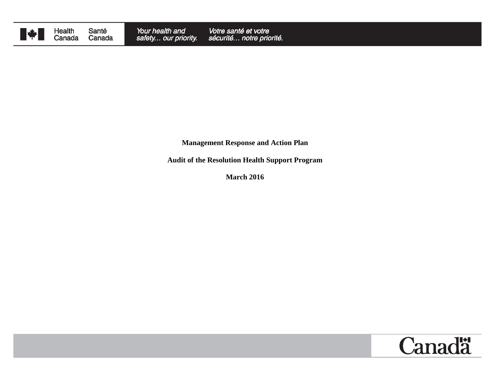

Health<br>Canada Santé Canada

**Management Response and Action Plan**

**Audit of the Resolution Health Support Program**

**March 2016**

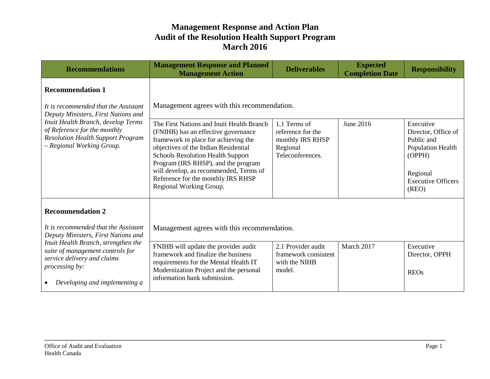| <b>Recommendations</b>                                                                                                                                                                                                     | <b>Management Response and Planned</b><br><b>Management Action</b>                                                                                                                                                                                                                                                                                             | <b>Deliverables</b>                                                                   | <b>Expected</b><br><b>Completion Date</b> | <b>Responsibility</b>                                                                                                           |
|----------------------------------------------------------------------------------------------------------------------------------------------------------------------------------------------------------------------------|----------------------------------------------------------------------------------------------------------------------------------------------------------------------------------------------------------------------------------------------------------------------------------------------------------------------------------------------------------------|---------------------------------------------------------------------------------------|-------------------------------------------|---------------------------------------------------------------------------------------------------------------------------------|
| <b>Recommendation 1</b>                                                                                                                                                                                                    |                                                                                                                                                                                                                                                                                                                                                                |                                                                                       |                                           |                                                                                                                                 |
| It is recommended that the Assistant<br>Deputy Ministers, First Nations and<br>Inuit Health Branch, develop Terms<br>of Reference for the monthly<br><b>Resolution Health Support Program</b><br>- Regional Working Group. | Management agrees with this recommendation.                                                                                                                                                                                                                                                                                                                    |                                                                                       |                                           |                                                                                                                                 |
|                                                                                                                                                                                                                            | The First Nations and Inuit Health Branch<br>(FNIHB) has an effective governance<br>framework in place for achieving the<br>objectives of the Indian Residential<br><b>Schools Resolution Health Support</b><br>Program (IRS RHSP), and the program<br>will develop, as recommended, Terms of<br>Reference for the monthly IRS RHSP<br>Regional Working Group. | 1.1 Terms of<br>reference for the<br>monthly IRS RHSP<br>Regional<br>Teleconferences. | June 2016                                 | Executive<br>Director, Office of<br>Public and<br>Population Health<br>(OPPH)<br>Regional<br><b>Executive Officers</b><br>(RED) |
| <b>Recommendation 2</b>                                                                                                                                                                                                    |                                                                                                                                                                                                                                                                                                                                                                |                                                                                       |                                           |                                                                                                                                 |
| It is recommended that the Assistant<br>Deputy Ministers, First Nations and                                                                                                                                                | Management agrees with this recommendation.                                                                                                                                                                                                                                                                                                                    |                                                                                       |                                           |                                                                                                                                 |
| Inuit Health Branch, strengthen the<br>suite of management controls for<br>service delivery and claims<br><i>processing by:</i><br>Developing and implementing a                                                           | FNIHB will update the provider audit<br>framework and finalize the business<br>requirements for the Mental Health IT<br>Modernization Project and the personal<br>information bank submission.                                                                                                                                                                 | 2.1 Provider audit<br>framework consistent<br>with the NIHB<br>model.                 | March 2017                                | Executive<br>Director, OPPH<br><b>REOs</b>                                                                                      |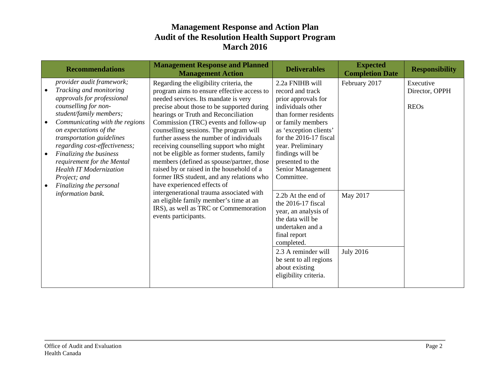|           | <b>Recommendations</b>                                                                                                                                                                                                                                          | <b>Management Response and Planned</b><br><b>Management Action</b>                                                                                                                                                                                                                                                                                                                            | <b>Deliverables</b>                                                                                                                                                                                    | <b>Expected</b><br><b>Completion Date</b> | <b>Responsibility</b>                      |
|-----------|-----------------------------------------------------------------------------------------------------------------------------------------------------------------------------------------------------------------------------------------------------------------|-----------------------------------------------------------------------------------------------------------------------------------------------------------------------------------------------------------------------------------------------------------------------------------------------------------------------------------------------------------------------------------------------|--------------------------------------------------------------------------------------------------------------------------------------------------------------------------------------------------------|-------------------------------------------|--------------------------------------------|
| $\bullet$ | provider audit framework;<br>Tracking and monitoring<br>approvals for professional<br>counselling for non-<br>student/family members;<br>Communicating with the regions<br>on expectations of the<br>transportation guidelines<br>regarding cost-effectiveness; | Regarding the eligibility criteria, the<br>program aims to ensure effective access to<br>needed services. Its mandate is very<br>precise about those to be supported during<br>hearings or Truth and Reconciliation<br>Commission (TRC) events and follow-up<br>counselling sessions. The program will<br>further assess the number of individuals<br>receiving counselling support who might | 2.2a FNIHB will<br>record and track<br>prior approvals for<br>individuals other<br>than former residents<br>or family members<br>as 'exception clients'<br>for the 2016-17 fiscal<br>year. Preliminary | February 2017                             | Executive<br>Director, OPPH<br><b>REOs</b> |
| $\bullet$ | Finalizing the business<br>requirement for the Mental<br><b>Health IT Modernization</b><br>Project; and<br>Finalizing the personal                                                                                                                              | not be eligible as former students, family<br>members (defined as spouse/partner, those<br>raised by or raised in the household of a<br>former IRS student, and any relations who<br>have experienced effects of                                                                                                                                                                              | findings will be<br>presented to the<br>Senior Management<br>Committee.                                                                                                                                |                                           |                                            |
|           | information bank.                                                                                                                                                                                                                                               | intergenerational trauma associated with<br>an eligible family member's time at an<br>IRS), as well as TRC or Commemoration<br>events participants.                                                                                                                                                                                                                                           | 2.2b At the end of<br>the 2016-17 fiscal<br>year, an analysis of<br>the data will be<br>undertaken and a<br>final report<br>completed.                                                                 | May 2017                                  |                                            |
|           |                                                                                                                                                                                                                                                                 |                                                                                                                                                                                                                                                                                                                                                                                               | 2.3 A reminder will<br>be sent to all regions<br>about existing<br>eligibility criteria.                                                                                                               | <b>July 2016</b>                          |                                            |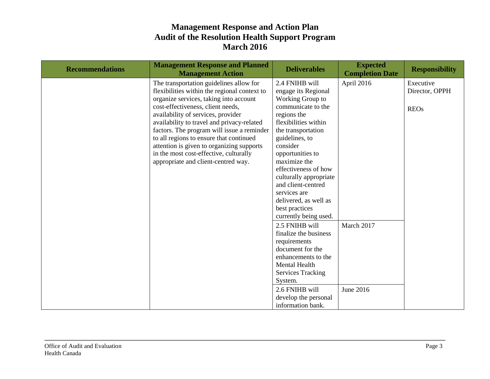| <b>Recommendations</b> | <b>Management Response and Planned</b><br><b>Management Action</b> | <b>Deliverables</b>              | <b>Expected</b><br><b>Completion Date</b> | <b>Responsibility</b> |
|------------------------|--------------------------------------------------------------------|----------------------------------|-------------------------------------------|-----------------------|
|                        | The transportation guidelines allow for                            | 2.4 FNIHB will                   | April 2016                                | Executive             |
|                        | flexibilities within the regional context to                       | engage its Regional              |                                           | Director, OPPH        |
|                        | organize services, taking into account                             | Working Group to                 |                                           |                       |
|                        | cost-effectiveness, client needs,                                  | communicate to the               |                                           | <b>REOs</b>           |
|                        | availability of services, provider                                 | regions the                      |                                           |                       |
|                        | availability to travel and privacy-related                         | flexibilities within             |                                           |                       |
|                        | factors. The program will issue a reminder                         | the transportation               |                                           |                       |
|                        | to all regions to ensure that continued                            | guidelines, to                   |                                           |                       |
|                        | attention is given to organizing supports                          | consider                         |                                           |                       |
|                        | in the most cost-effective, culturally                             | opportunities to<br>maximize the |                                           |                       |
|                        | appropriate and client-centred way.                                | effectiveness of how             |                                           |                       |
|                        |                                                                    | culturally appropriate           |                                           |                       |
|                        |                                                                    | and client-centred               |                                           |                       |
|                        |                                                                    | services are                     |                                           |                       |
|                        |                                                                    | delivered, as well as            |                                           |                       |
|                        |                                                                    | best practices                   |                                           |                       |
|                        |                                                                    | currently being used.            |                                           |                       |
|                        |                                                                    | 2.5 FNIHB will                   | March 2017                                |                       |
|                        |                                                                    | finalize the business            |                                           |                       |
|                        |                                                                    | requirements                     |                                           |                       |
|                        |                                                                    | document for the                 |                                           |                       |
|                        |                                                                    | enhancements to the              |                                           |                       |
|                        |                                                                    | <b>Mental Health</b>             |                                           |                       |
|                        |                                                                    | <b>Services Tracking</b>         |                                           |                       |
|                        |                                                                    | System.                          |                                           |                       |
|                        |                                                                    | 2.6 FNIHB will                   | June 2016                                 |                       |
|                        |                                                                    | develop the personal             |                                           |                       |
|                        |                                                                    | information bank.                |                                           |                       |